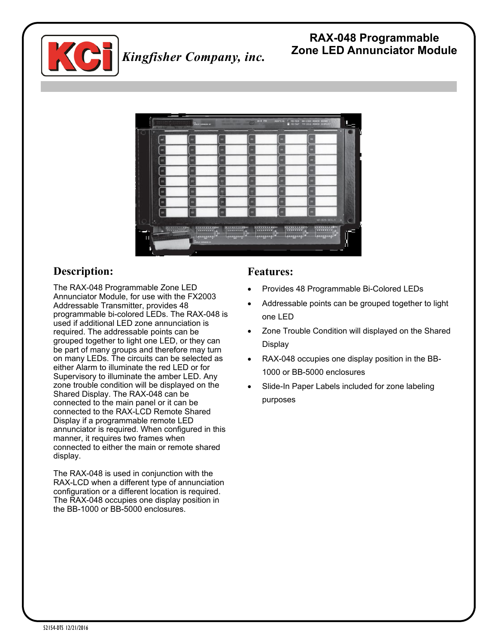

#### **RAX-048 Programmable Zone LED Annunciator Module** *Kingfisher Company, inc.*



# **Description:**

The RAX-048 Programmable Zone LED Annunciator Module, for use with the FX2003 Addressable Transmitter, provides 48 programmable bi-colored LEDs. The RAX-048 is used if additional LED zone annunciation is required. The addressable points can be grouped together to light one LED, or they can be part of many groups and therefore may turn on many LEDs. The circuits can be selected as either Alarm to illuminate the red LED or for Supervisory to illuminate the amber LED. Any zone trouble condition will be displayed on the Shared Display. The RAX-048 can be connected to the main panel or it can be connected to the RAX-LCD Remote Shared Display if a programmable remote LED annunciator is required. When configured in this manner, it requires two frames when connected to either the main or remote shared display.

The RAX-048 is used in conjunction with the RAX-LCD when a different type of annunciation configuration or a different location is required. The RAX-048 occupies one display position in the BB-1000 or BB-5000 enclosures.

### **Features:**

- Provides 48 Programmable Bi-Colored LEDs
- Addressable points can be grouped together to light one LED
- Zone Trouble Condition will displayed on the Shared Display
- RAX-048 occupies one display position in the BB-1000 or BB-5000 enclosures
- Slide-In Paper Labels included for zone labeling purposes